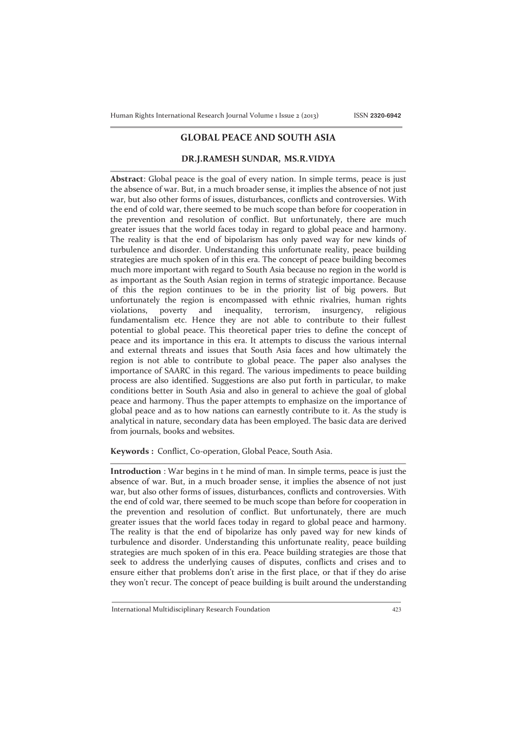Human Rights International Research Journal Volume 1 Issue 2 (2013) ISSN **2320-6942**

## **GLOBAL PEACE AND SOUTH ASIA**

## **DR.J.RAMESH SUNDAR, MS.R.VIDYA**

**Abstract**: Global peace is the goal of every nation. In simple terms, peace is just the absence of war. But, in a much broader sense, it implies the absence of not just war, but also other forms of issues, disturbances, conflicts and controversies. With the end of cold war, there seemed to be much scope than before for cooperation in the prevention and resolution of conflict. But unfortunately, there are much greater issues that the world faces today in regard to global peace and harmony. The reality is that the end of bipolarism has only paved way for new kinds of turbulence and disorder. Understanding this unfortunate reality, peace building strategies are much spoken of in this era. The concept of peace building becomes much more important with regard to South Asia because no region in the world is as important as the South Asian region in terms of strategic importance. Because of this the region continues to be in the priority list of big powers. But unfortunately the region is encompassed with ethnic rivalries, human rights violations, poverty and inequality, terrorism, insurgency, religious fundamentalism etc. Hence they are not able to contribute to their fullest potential to global peace. This theoretical paper tries to define the concept of peace and its importance in this era. It attempts to discuss the various internal and external threats and issues that South Asia faces and how ultimately the region is not able to contribute to global peace. The paper also analyses the importance of SAARC in this regard. The various impediments to peace building process are also identified. Suggestions are also put forth in particular, to make conditions better in South Asia and also in general to achieve the goal of global peace and harmony. Thus the paper attempts to emphasize on the importance of global peace and as to how nations can earnestly contribute to it. As the study is analytical in nature, secondary data has been employed. The basic data are derived from journals, books and websites.

**Keywords :** Conflict, Co-operation, Global Peace, South Asia.

**Introduction** : War begins in t he mind of man. In simple terms, peace is just the absence of war. But, in a much broader sense, it implies the absence of not just war, but also other forms of issues, disturbances, conflicts and controversies. With the end of cold war, there seemed to be much scope than before for cooperation in the prevention and resolution of conflict. But unfortunately, there are much greater issues that the world faces today in regard to global peace and harmony. The reality is that the end of bipolarize has only paved way for new kinds of turbulence and disorder. Understanding this unfortunate reality, peace building strategies are much spoken of in this era. Peace building strategies are those that seek to address the underlying causes of disputes, conflicts and crises and to ensure either that problems don't arise in the first place, or that if they do arise they won't recur. The concept of peace building is built around the understanding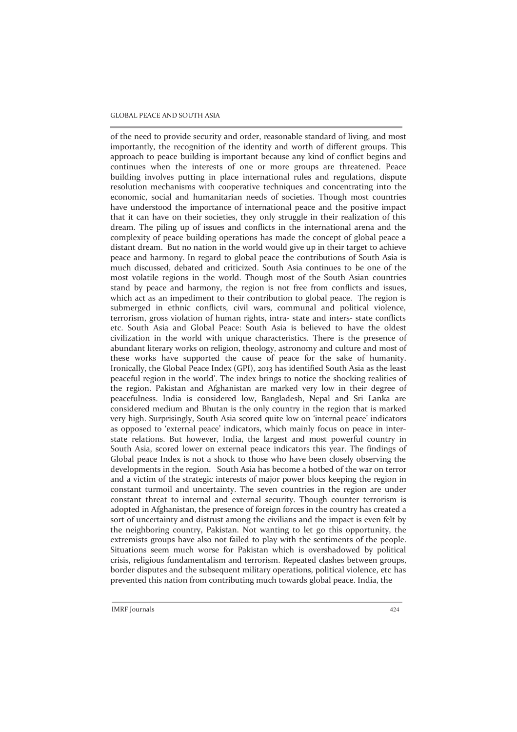## GLOBAL PEACE AND SOUTH ASIA

of the need to provide security and order, reasonable standard of living, and most importantly, the recognition of the identity and worth of different groups. This approach to peace building is important because any kind of conflict begins and continues when the interests of one or more groups are threatened. Peace building involves putting in place international rules and regulations, dispute resolution mechanisms with cooperative techniques and concentrating into the economic, social and humanitarian needs of societies. Though most countries have understood the importance of international peace and the positive impact that it can have on their societies, they only struggle in their realization of this dream. The piling up of issues and conflicts in the international arena and the complexity of peace building operations has made the concept of global peace a distant dream. But no nation in the world would give up in their target to achieve peace and harmony. In regard to global peace the contributions of South Asia is much discussed, debated and criticized. South Asia continues to be one of the most volatile regions in the world. Though most of the South Asian countries stand by peace and harmony, the region is not free from conflicts and issues, which act as an impediment to their contribution to global peace. The region is submerged in ethnic conflicts, civil wars, communal and political violence, terrorism, gross violation of human rights, intra- state and inters- state conflicts etc. South Asia and Global Peace: South Asia is believed to have the oldest civilization in the world with unique characteristics. There is the presence of abundant literary works on religion, theology, astronomy and culture and most of these works have supported the cause of peace for the sake of humanity. Ironically, the Global Peace Index (GPI), 2013 has identified South Asia as the least peaceful region in the world<sup>1</sup>. The index brings to notice the shocking realities of the region. Pakistan and Afghanistan are marked very low in their degree of peacefulness. India is considered low, Bangladesh, Nepal and Sri Lanka are considered medium and Bhutan is the only country in the region that is marked very high. Surprisingly, South Asia scored quite low on 'internal peace' indicators as opposed to 'external peace' indicators, which mainly focus on peace in interstate relations. But however, India, the largest and most powerful country in South Asia, scored lower on external peace indicators this year. The findings of Global peace Index is not a shock to those who have been closely observing the developments in the region. South Asia has become a hotbed of the war on terror and a victim of the strategic interests of major power blocs keeping the region in constant turmoil and uncertainty. The seven countries in the region are under constant threat to internal and external security. Though counter terrorism is adopted in Afghanistan, the presence of foreign forces in the country has created a sort of uncertainty and distrust among the civilians and the impact is even felt by the neighboring country, Pakistan. Not wanting to let go this opportunity, the extremists groups have also not failed to play with the sentiments of the people. Situations seem much worse for Pakistan which is overshadowed by political crisis, religious fundamentalism and terrorism. Repeated clashes between groups, border disputes and the subsequent military operations, political violence, etc has prevented this nation from contributing much towards global peace. India, the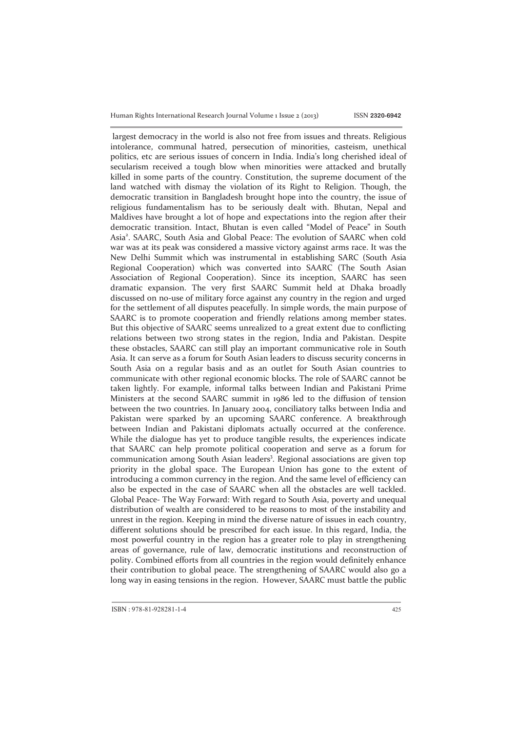Human Rights International Research Journal Volume 1 Issue 2 (2013) ISSN **2320-6942**

 largest democracy in the world is also not free from issues and threats. Religious intolerance, communal hatred, persecution of minorities, casteism, unethical politics, etc are serious issues of concern in India. India's long cherished ideal of secularism received a tough blow when minorities were attacked and brutally killed in some parts of the country. Constitution, the supreme document of the land watched with dismay the violation of its Right to Religion. Though, the democratic transition in Bangladesh brought hope into the country, the issue of religious fundamentalism has to be seriously dealt with. Bhutan, Nepal and Maldives have brought a lot of hope and expectations into the region after their democratic transition. Intact, Bhutan is even called "Model of Peace" in South Asia<sup>2</sup>. SAARC, South Asia and Global Peace: The evolution of SAARC when cold war was at its peak was considered a massive victory against arms race. It was the New Delhi Summit which was instrumental in establishing SARC (South Asia Regional Cooperation) which was converted into SAARC (The South Asian Association of Regional Cooperation). Since its inception, SAARC has seen dramatic expansion. The very first SAARC Summit held at Dhaka broadly discussed on no-use of military force against any country in the region and urged for the settlement of all disputes peacefully. In simple words, the main purpose of SAARC is to promote cooperation and friendly relations among member states. But this objective of SAARC seems unrealized to a great extent due to conflicting relations between two strong states in the region, India and Pakistan. Despite these obstacles, SAARC can still play an important communicative role in South Asia. It can serve as a forum for South Asian leaders to discuss security concerns in South Asia on a regular basis and as an outlet for South Asian countries to communicate with other regional economic blocks. The role of SAARC cannot be taken lightly. For example, informal talks between Indian and Pakistani Prime Ministers at the second SAARC summit in 1986 led to the diffusion of tension between the two countries. In January 2004, conciliatory talks between India and Pakistan were sparked by an upcoming SAARC conference. A breakthrough between Indian and Pakistani diplomats actually occurred at the conference. While the dialogue has yet to produce tangible results, the experiences indicate that SAARC can help promote political cooperation and serve as a forum for communication among South Asian leaders<sup>3</sup>. Regional associations are given top priority in the global space. The European Union has gone to the extent of introducing a common currency in the region. And the same level of efficiency can also be expected in the case of SAARC when all the obstacles are well tackled. Global Peace- The Way Forward: With regard to South Asia, poverty and unequal distribution of wealth are considered to be reasons to most of the instability and unrest in the region. Keeping in mind the diverse nature of issues in each country, different solutions should be prescribed for each issue. In this regard, India, the most powerful country in the region has a greater role to play in strengthening areas of governance, rule of law, democratic institutions and reconstruction of polity. Combined efforts from all countries in the region would definitely enhance their contribution to global peace. The strengthening of SAARC would also go a long way in easing tensions in the region. However, SAARC must battle the public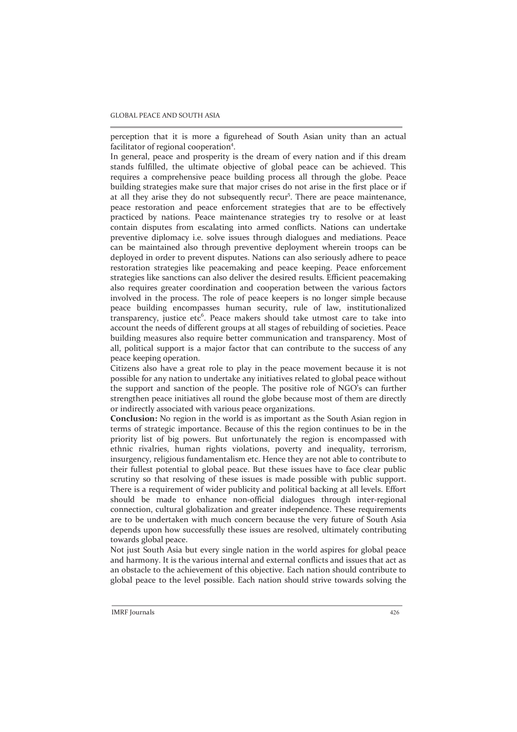perception that it is more a figurehead of South Asian unity than an actual facilitator of regional cooperation<sup>4</sup>.

In general, peace and prosperity is the dream of every nation and if this dream stands fulfilled, the ultimate objective of global peace can be achieved. This requires a comprehensive peace building process all through the globe. Peace building strategies make sure that major crises do not arise in the first place or if at all they arise they do not subsequently recur<sup>5</sup>. There are peace maintenance, peace restoration and peace enforcement strategies that are to be effectively practiced by nations. Peace maintenance strategies try to resolve or at least contain disputes from escalating into armed conflicts. Nations can undertake preventive diplomacy i.e. solve issues through dialogues and mediations. Peace can be maintained also through preventive deployment wherein troops can be deployed in order to prevent disputes. Nations can also seriously adhere to peace restoration strategies like peacemaking and peace keeping. Peace enforcement strategies like sanctions can also deliver the desired results. Efficient peacemaking also requires greater coordination and cooperation between the various factors involved in the process. The role of peace keepers is no longer simple because peace building encompasses human security, rule of law, institutionalized transparency, justice etc<sup>6</sup>. Peace makers should take utmost care to take into account the needs of different groups at all stages of rebuilding of societies. Peace building measures also require better communication and transparency. Most of all, political support is a major factor that can contribute to the success of any peace keeping operation.

Citizens also have a great role to play in the peace movement because it is not possible for any nation to undertake any initiatives related to global peace without the support and sanction of the people. The positive role of NGO's can further strengthen peace initiatives all round the globe because most of them are directly or indirectly associated with various peace organizations.

**Conclusion:** No region in the world is as important as the South Asian region in terms of strategic importance. Because of this the region continues to be in the priority list of big powers. But unfortunately the region is encompassed with ethnic rivalries, human rights violations, poverty and inequality, terrorism, insurgency, religious fundamentalism etc. Hence they are not able to contribute to their fullest potential to global peace. But these issues have to face clear public scrutiny so that resolving of these issues is made possible with public support. There is a requirement of wider publicity and political backing at all levels. Effort should be made to enhance non-official dialogues through inter-regional connection, cultural globalization and greater independence. These requirements are to be undertaken with much concern because the very future of South Asia depends upon how successfully these issues are resolved, ultimately contributing towards global peace.

Not just South Asia but every single nation in the world aspires for global peace and harmony. It is the various internal and external conflicts and issues that act as an obstacle to the achievement of this objective. Each nation should contribute to global peace to the level possible. Each nation should strive towards solving the